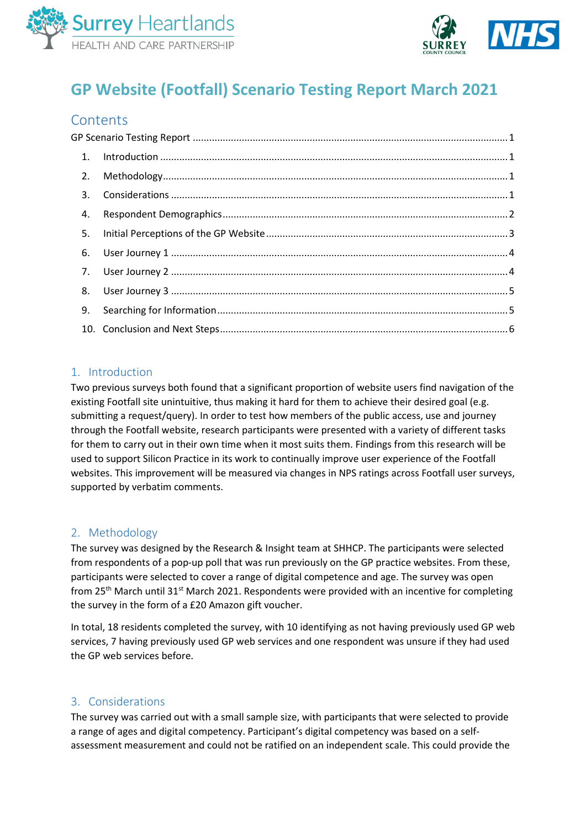



# <span id="page-0-0"></span>**GP Website (Footfall) Scenario Testing Report March 2021**

# **Contents**

|  | 4. |  |  |
|--|----|--|--|
|  | 5. |  |  |
|  | 6. |  |  |
|  |    |  |  |
|  | 8. |  |  |
|  | 9. |  |  |
|  |    |  |  |

## <span id="page-0-1"></span>1. Introduction

Two previous surveys both found that a significant proportion of website users find navigation of the existing Footfall site unintuitive, thus making it hard for them to achieve their desired goal (e.g. submitting a request/query). In order to test how members of the public access, use and journey through the Footfall website, research participants were presented with a variety of different tasks for them to carry out in their own time when it most suits them. Findings from this research will be used to support Silicon Practice in its work to continually improve user experience of the Footfall websites. This improvement will be measured via changes in NPS ratings across Footfall user surveys, supported by verbatim comments.

## <span id="page-0-2"></span>2. Methodology

The survey was designed by the Research & Insight team at SHHCP. The participants were selected from respondents of a pop-up poll that was run previously on the GP practice websites. From these, participants were selected to cover a range of digital competence and age. The survey was open from  $25<sup>th</sup>$  March until 31<sup>st</sup> March 2021. Respondents were provided with an incentive for completing the survey in the form of a £20 Amazon gift voucher.

In total, 18 residents completed the survey, with 10 identifying as not having previously used GP web services, 7 having previously used GP web services and one respondent was unsure if they had used the GP web services before.

## <span id="page-0-3"></span>3. Considerations

The survey was carried out with a small sample size, with participants that were selected to provide a range of ages and digital competency. Participant's digital competency was based on a selfassessment measurement and could not be ratified on an independent scale. This could provide the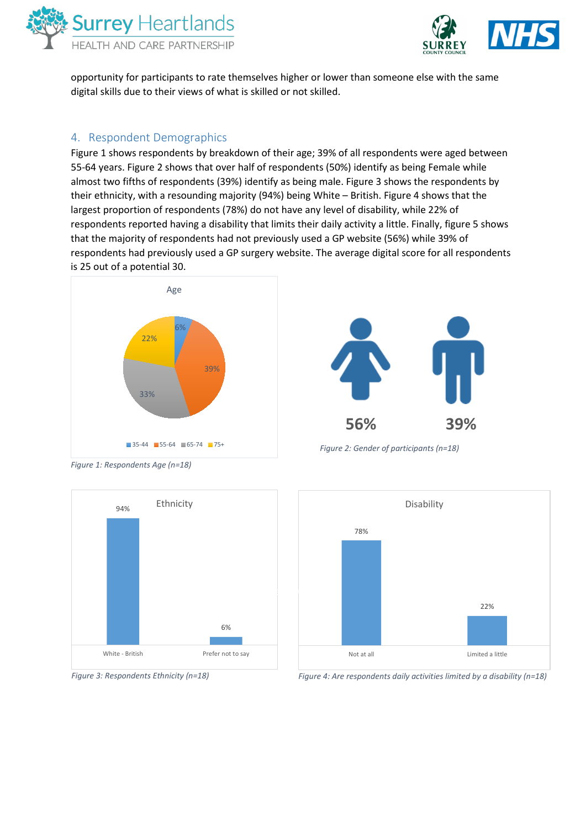



opportunity for participants to rate themselves higher or lower than someone else with the same digital skills due to their views of what is skilled or not skilled.

#### <span id="page-1-0"></span>4. Respondent Demographics

Figure 1 shows respondents by breakdown of their age; 39% of all respondents were aged between 55-64 years. Figure 2 shows that over half of respondents (50%) identify as being Female while almost two fifths of respondents (39%) identify as being male. Figure 3 shows the respondents by their ethnicity, with a resounding majority (94%) being White – British. Figure 4 shows that the largest proportion of respondents (78%) do not have any level of disability, while 22% of respondents reported having a disability that limits their daily activity a little. Finally, figure 5 shows that the majority of respondents had not previously used a GP website (56%) while 39% of respondents had previously used a GP surgery website. The average digital score for all respondents is 25 out of a potential 30.





*Figure 2: Gender of participants (n=18)*

*Figure 1: Respondents Age (n=18)*







*Figure 4: Are respondents daily activities limited by a disability (n=18)*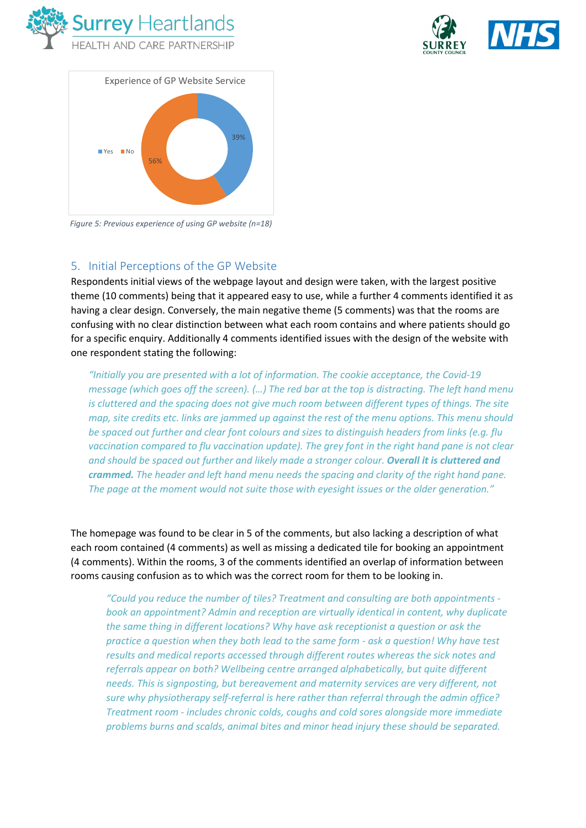





*Figure 5: Previous experience of using GP website (n=18)*

# <span id="page-2-0"></span>5. Initial Perceptions of the GP Website

Respondents initial views of the webpage layout and design were taken, with the largest positive theme (10 comments) being that it appeared easy to use, while a further 4 comments identified it as having a clear design. Conversely, the main negative theme (5 comments) was that the rooms are confusing with no clear distinction between what each room contains and where patients should go for a specific enquiry. Additionally 4 comments identified issues with the design of the website with one respondent stating the following:

*"Initially you are presented with a lot of information. The cookie acceptance, the Covid-19 message (which goes off the screen). (…) The red bar at the top is distracting. The left hand menu is cluttered and the spacing does not give much room between different types of things. The site map, site credits etc. links are jammed up against the rest of the menu options. This menu should be spaced out further and clear font colours and sizes to distinguish headers from links (e.g. flu vaccination compared to flu vaccination update). The grey font in the right hand pane is not clear and should be spaced out further and likely made a stronger colour. Overall it is cluttered and crammed. The header and left hand menu needs the spacing and clarity of the right hand pane. The page at the moment would not suite those with eyesight issues or the older generation."*

The homepage was found to be clear in 5 of the comments, but also lacking a description of what each room contained (4 comments) as well as missing a dedicated tile for booking an appointment (4 comments). Within the rooms, 3 of the comments identified an overlap of information between rooms causing confusion as to which was the correct room for them to be looking in.

*"Could you reduce the number of tiles? Treatment and consulting are both appointments book an appointment? Admin and reception are virtually identical in content, why duplicate the same thing in different locations? Why have ask receptionist a question or ask the practice a question when they both lead to the same form - ask a question! Why have test results and medical reports accessed through different routes whereas the sick notes and referrals appear on both? Wellbeing centre arranged alphabetically, but quite different needs. This is signposting, but bereavement and maternity services are very different, not sure why physiotherapy self-referral is here rather than referral through the admin office? Treatment room - includes chronic colds, coughs and cold sores alongside more immediate problems burns and scalds, animal bites and minor head injury these should be separated.*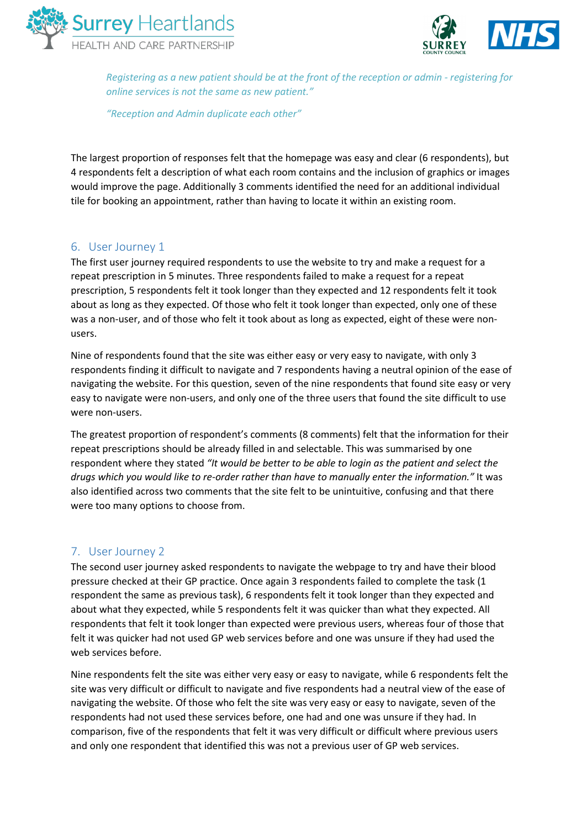



*Registering as a new patient should be at the front of the reception or admin - registering for online services is not the same as new patient."*

*"Reception and Admin duplicate each other"*

The largest proportion of responses felt that the homepage was easy and clear (6 respondents), but 4 respondents felt a description of what each room contains and the inclusion of graphics or images would improve the page. Additionally 3 comments identified the need for an additional individual tile for booking an appointment, rather than having to locate it within an existing room.

## <span id="page-3-0"></span>6. User Journey 1

The first user journey required respondents to use the website to try and make a request for a repeat prescription in 5 minutes. Three respondents failed to make a request for a repeat prescription, 5 respondents felt it took longer than they expected and 12 respondents felt it took about as long as they expected. Of those who felt it took longer than expected, only one of these was a non-user, and of those who felt it took about as long as expected, eight of these were nonusers.

Nine of respondents found that the site was either easy or very easy to navigate, with only 3 respondents finding it difficult to navigate and 7 respondents having a neutral opinion of the ease of navigating the website. For this question, seven of the nine respondents that found site easy or very easy to navigate were non-users, and only one of the three users that found the site difficult to use were non-users.

The greatest proportion of respondent's comments (8 comments) felt that the information for their repeat prescriptions should be already filled in and selectable. This was summarised by one respondent where they stated *"It would be better to be able to login as the patient and select the drugs which you would like to re-order rather than have to manually enter the information."* It was also identified across two comments that the site felt to be unintuitive, confusing and that there were too many options to choose from.

# <span id="page-3-1"></span>7. User Journey 2

The second user journey asked respondents to navigate the webpage to try and have their blood pressure checked at their GP practice. Once again 3 respondents failed to complete the task (1 respondent the same as previous task), 6 respondents felt it took longer than they expected and about what they expected, while 5 respondents felt it was quicker than what they expected. All respondents that felt it took longer than expected were previous users, whereas four of those that felt it was quicker had not used GP web services before and one was unsure if they had used the web services before.

Nine respondents felt the site was either very easy or easy to navigate, while 6 respondents felt the site was very difficult or difficult to navigate and five respondents had a neutral view of the ease of navigating the website. Of those who felt the site was very easy or easy to navigate, seven of the respondents had not used these services before, one had and one was unsure if they had. In comparison, five of the respondents that felt it was very difficult or difficult where previous users and only one respondent that identified this was not a previous user of GP web services.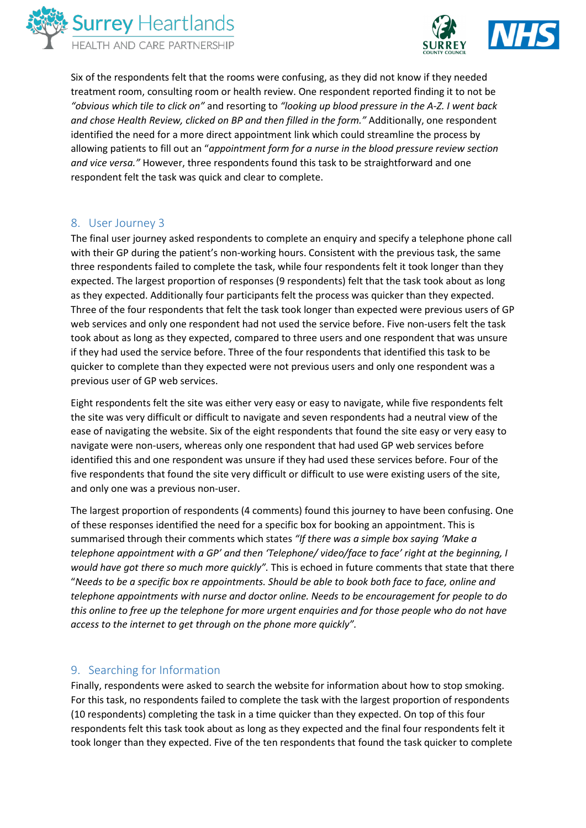



Six of the respondents felt that the rooms were confusing, as they did not know if they needed treatment room, consulting room or health review. One respondent reported finding it to not be *"obvious which tile to click on"* and resorting to *"looking up blood pressure in the A-Z. I went back and chose Health Review, clicked on BP and then filled in the form."* Additionally, one respondent identified the need for a more direct appointment link which could streamline the process by allowing patients to fill out an "*appointment form for a nurse in the blood pressure review section and vice versa."* However, three respondents found this task to be straightforward and one respondent felt the task was quick and clear to complete.

## <span id="page-4-0"></span>8. User Journey 3

The final user journey asked respondents to complete an enquiry and specify a telephone phone call with their GP during the patient's non-working hours. Consistent with the previous task, the same three respondents failed to complete the task, while four respondents felt it took longer than they expected. The largest proportion of responses (9 respondents) felt that the task took about as long as they expected. Additionally four participants felt the process was quicker than they expected. Three of the four respondents that felt the task took longer than expected were previous users of GP web services and only one respondent had not used the service before. Five non-users felt the task took about as long as they expected, compared to three users and one respondent that was unsure if they had used the service before. Three of the four respondents that identified this task to be quicker to complete than they expected were not previous users and only one respondent was a previous user of GP web services.

Eight respondents felt the site was either very easy or easy to navigate, while five respondents felt the site was very difficult or difficult to navigate and seven respondents had a neutral view of the ease of navigating the website. Six of the eight respondents that found the site easy or very easy to navigate were non-users, whereas only one respondent that had used GP web services before identified this and one respondent was unsure if they had used these services before. Four of the five respondents that found the site very difficult or difficult to use were existing users of the site, and only one was a previous non-user.

The largest proportion of respondents (4 comments) found this journey to have been confusing. One of these responses identified the need for a specific box for booking an appointment. This is summarised through their comments which states *"If there was a simple box saying 'Make a telephone appointment with a GP' and then 'Telephone/ video/face to face' right at the beginning, I would have got there so much more quickly".* This is echoed in future comments that state that there "*Needs to be a specific box re appointments. Should be able to book both face to face, online and telephone appointments with nurse and doctor online. Needs to be encouragement for people to do this online to free up the telephone for more urgent enquiries and for those people who do not have access to the internet to get through on the phone more quickly".*

## <span id="page-4-1"></span>9. Searching for Information

Finally, respondents were asked to search the website for information about how to stop smoking. For this task, no respondents failed to complete the task with the largest proportion of respondents (10 respondents) completing the task in a time quicker than they expected. On top of this four respondents felt this task took about as long as they expected and the final four respondents felt it took longer than they expected. Five of the ten respondents that found the task quicker to complete